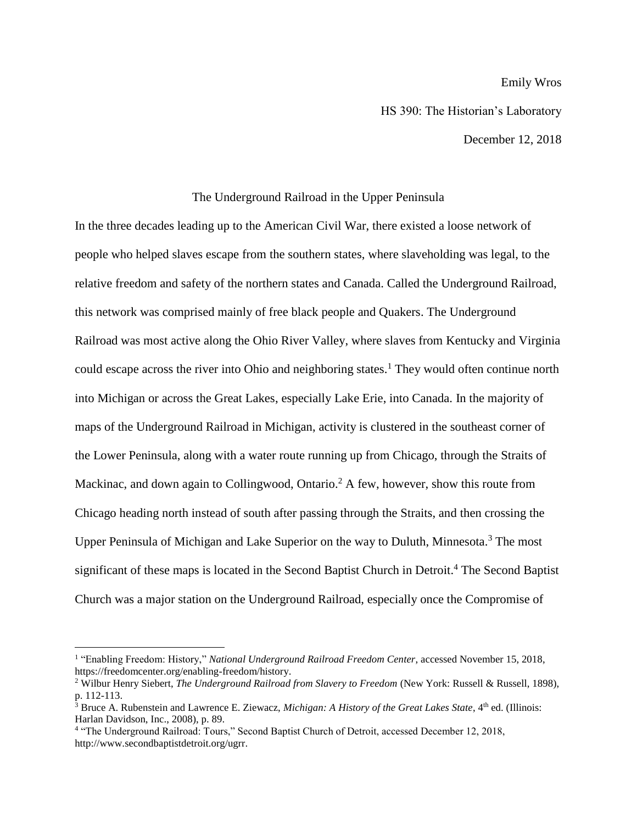## Emily Wros

HS 390: The Historian's Laboratory

December 12, 2018

## The Underground Railroad in the Upper Peninsula

In the three decades leading up to the American Civil War, there existed a loose network of people who helped slaves escape from the southern states, where slaveholding was legal, to the relative freedom and safety of the northern states and Canada. Called the Underground Railroad, this network was comprised mainly of free black people and Quakers. The Underground Railroad was most active along the Ohio River Valley, where slaves from Kentucky and Virginia could escape across the river into Ohio and neighboring states.<sup>1</sup> They would often continue north into Michigan or across the Great Lakes, especially Lake Erie, into Canada. In the majority of maps of the Underground Railroad in Michigan, activity is clustered in the southeast corner of the Lower Peninsula, along with a water route running up from Chicago, through the Straits of Mackinac, and down again to Collingwood, Ontario.<sup>2</sup> A few, however, show this route from Chicago heading north instead of south after passing through the Straits, and then crossing the Upper Peninsula of Michigan and Lake Superior on the way to Duluth, Minnesota.<sup>3</sup> The most significant of these maps is located in the Second Baptist Church in Detroit.<sup>4</sup> The Second Baptist Church was a major station on the Underground Railroad, especially once the Compromise of

<sup>&</sup>lt;sup>1</sup> "Enabling Freedom: History," *National Underground Railroad Freedom Center*, accessed November 15, 2018, https://freedomcenter.org/enabling-freedom/history.

<sup>2</sup> Wilbur Henry Siebert, *The Underground Railroad from Slavery to Freedom* (New York: Russell & Russell, 1898), p. 112-113.

 $3$  Bruce A. Rubenstein and Lawrence E. Ziewacz, *Michigan: A History of the Great Lakes State*,  $4<sup>th</sup>$  ed. (Illinois: Harlan Davidson, Inc., 2008), p. 89.

<sup>&</sup>lt;sup>4</sup> "The Underground Railroad: Tours," Second Baptist Church of Detroit, accessed December 12, 2018, http://www.secondbaptistdetroit.org/ugrr.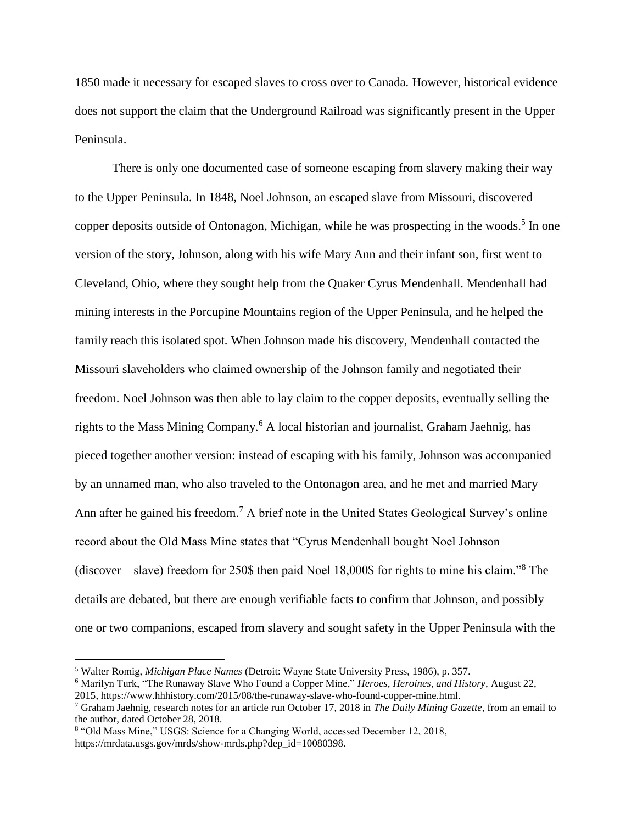1850 made it necessary for escaped slaves to cross over to Canada. However, historical evidence does not support the claim that the Underground Railroad was significantly present in the Upper Peninsula.

There is only one documented case of someone escaping from slavery making their way to the Upper Peninsula. In 1848, Noel Johnson, an escaped slave from Missouri, discovered copper deposits outside of Ontonagon, Michigan, while he was prospecting in the woods.<sup>5</sup> In one version of the story, Johnson, along with his wife Mary Ann and their infant son, first went to Cleveland, Ohio, where they sought help from the Quaker Cyrus Mendenhall. Mendenhall had mining interests in the Porcupine Mountains region of the Upper Peninsula, and he helped the family reach this isolated spot. When Johnson made his discovery, Mendenhall contacted the Missouri slaveholders who claimed ownership of the Johnson family and negotiated their freedom. Noel Johnson was then able to lay claim to the copper deposits, eventually selling the rights to the Mass Mining Company.<sup>6</sup> A local historian and journalist, Graham Jaehnig, has pieced together another version: instead of escaping with his family, Johnson was accompanied by an unnamed man, who also traveled to the Ontonagon area, and he met and married Mary Ann after he gained his freedom.<sup>7</sup> A brief note in the United States Geological Survey's online record about the Old Mass Mine states that "Cyrus Mendenhall bought Noel Johnson (discover—slave) freedom for 250\$ then paid Noel 18,000\$ for rights to mine his claim."<sup>8</sup> The details are debated, but there are enough verifiable facts to confirm that Johnson, and possibly one or two companions, escaped from slavery and sought safety in the Upper Peninsula with the

<sup>5</sup> Walter Romig, *Michigan Place Names* (Detroit: Wayne State University Press, 1986), p. 357.

<sup>6</sup> Marilyn Turk, "The Runaway Slave Who Found a Copper Mine," *Heroes, Heroines, and History*, August 22, 2015, https://www.hhhistory.com/2015/08/the-runaway-slave-who-found-copper-mine.html.

<sup>7</sup> Graham Jaehnig, research notes for an article run October 17, 2018 in *The Daily Mining Gazette*, from an email to the author, dated October 28, 2018.

<sup>8</sup> "Old Mass Mine," USGS: Science for a Changing World, accessed December 12, 2018, https://mrdata.usgs.gov/mrds/show-mrds.php?dep\_id=10080398.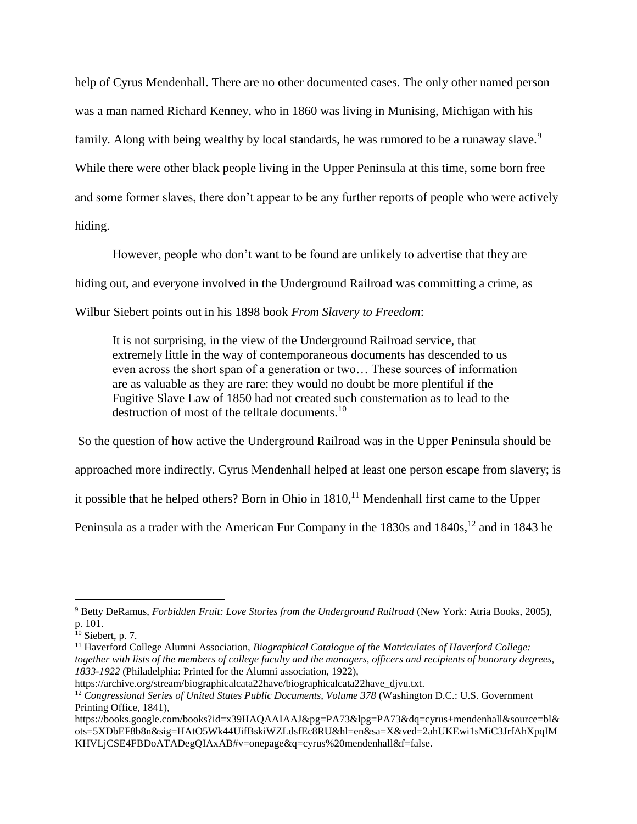help of Cyrus Mendenhall. There are no other documented cases. The only other named person was a man named Richard Kenney, who in 1860 was living in Munising, Michigan with his family. Along with being wealthy by local standards, he was rumored to be a runaway slave.<sup>9</sup> While there were other black people living in the Upper Peninsula at this time, some born free and some former slaves, there don't appear to be any further reports of people who were actively hiding.

However, people who don't want to be found are unlikely to advertise that they are hiding out, and everyone involved in the Underground Railroad was committing a crime, as Wilbur Siebert points out in his 1898 book *From Slavery to Freedom*:

It is not surprising, in the view of the Underground Railroad service, that extremely little in the way of contemporaneous documents has descended to us even across the short span of a generation or two… These sources of information are as valuable as they are rare: they would no doubt be more plentiful if the Fugitive Slave Law of 1850 had not created such consternation as to lead to the destruction of most of the telltale documents.<sup>10</sup>

So the question of how active the Underground Railroad was in the Upper Peninsula should be approached more indirectly. Cyrus Mendenhall helped at least one person escape from slavery; is it possible that he helped others? Born in Ohio in  $1810$ ,<sup>11</sup> Mendenhall first came to the Upper Peninsula as a trader with the American Fur Company in the  $1830s$  and  $1840s$ ,  $12$  and in 1843 he

<sup>9</sup> Betty DeRamus, *Forbidden Fruit: Love Stories from the Underground Railroad* (New York: Atria Books, 2005), p. 101.

 $10$  Siebert, p. 7.

<sup>&</sup>lt;sup>11</sup> Haverford College Alumni Association, *Biographical Catalogue of the Matriculates of Haverford College: together with lists of the members of college faculty and the managers, officers and recipients of honorary degrees, 1833-1922* (Philadelphia: Printed for the Alumni association, 1922),

https://archive.org/stream/biographicalcata22have/biographicalcata22have\_djvu.txt.

<sup>12</sup> *Congressional Series of United States Public Documents, Volume 378* (Washington D.C.: U.S. Government Printing Office, 1841),

https://books.google.com/books?id=x39HAQAAIAAJ&pg=PA73&lpg=PA73&dq=cyrus+mendenhall&source=bl& ots=5XDbEF8b8n&sig=HAtO5Wk44UifBskiWZLdsfEc8RU&hl=en&sa=X&ved=2ahUKEwi1sMiC3JrfAhXpqIM KHVLjCSE4FBDoATADegQIAxAB#v=onepage&q=cyrus%20mendenhall&f=false.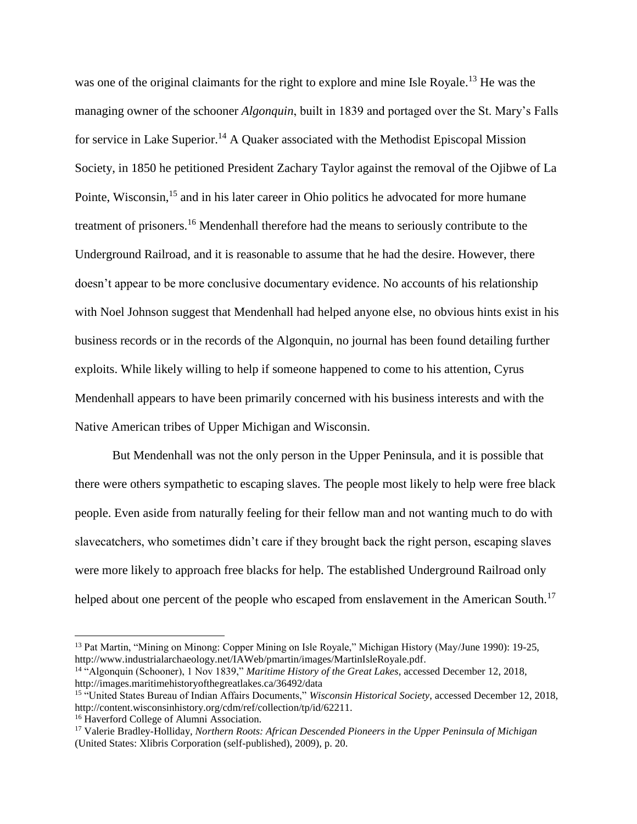was one of the original claimants for the right to explore and mine Isle Royale.<sup>13</sup> He was the managing owner of the schooner *Algonquin*, built in 1839 and portaged over the St. Mary's Falls for service in Lake Superior.<sup>14</sup> A Quaker associated with the Methodist Episcopal Mission Society, in 1850 he petitioned President Zachary Taylor against the removal of the Ojibwe of La Pointe, Wisconsin,<sup>15</sup> and in his later career in Ohio politics he advocated for more humane treatment of prisoners.<sup>16</sup> Mendenhall therefore had the means to seriously contribute to the Underground Railroad, and it is reasonable to assume that he had the desire. However, there doesn't appear to be more conclusive documentary evidence. No accounts of his relationship with Noel Johnson suggest that Mendenhall had helped anyone else, no obvious hints exist in his business records or in the records of the Algonquin, no journal has been found detailing further exploits. While likely willing to help if someone happened to come to his attention, Cyrus Mendenhall appears to have been primarily concerned with his business interests and with the Native American tribes of Upper Michigan and Wisconsin.

But Mendenhall was not the only person in the Upper Peninsula, and it is possible that there were others sympathetic to escaping slaves. The people most likely to help were free black people. Even aside from naturally feeling for their fellow man and not wanting much to do with slavecatchers, who sometimes didn't care if they brought back the right person, escaping slaves were more likely to approach free blacks for help. The established Underground Railroad only helped about one percent of the people who escaped from enslavement in the American South.<sup>17</sup>

<sup>&</sup>lt;sup>13</sup> Pat Martin, "Mining on Minong: Copper Mining on Isle Royale," Michigan History (May/June 1990): 19-25, http://www.industrialarchaeology.net/IAWeb/pmartin/images/MartinIsleRoyale.pdf.

<sup>14</sup> "Algonquin (Schooner), 1 Nov 1839," *Maritime History of the Great Lakes*, accessed December 12, 2018, http://images.maritimehistoryofthegreatlakes.ca/36492/data

<sup>&</sup>lt;sup>15</sup> "United States Bureau of Indian Affairs Documents," *Wisconsin Historical Society*, accessed December 12, 2018, http://content.wisconsinhistory.org/cdm/ref/collection/tp/id/62211.

<sup>&</sup>lt;sup>16</sup> Haverford College of Alumni Association.

<sup>17</sup> Valerie Bradley-Holliday, *Northern Roots: African Descended Pioneers in the Upper Peninsula of Michigan* (United States: Xlibris Corporation (self-published), 2009), p. 20.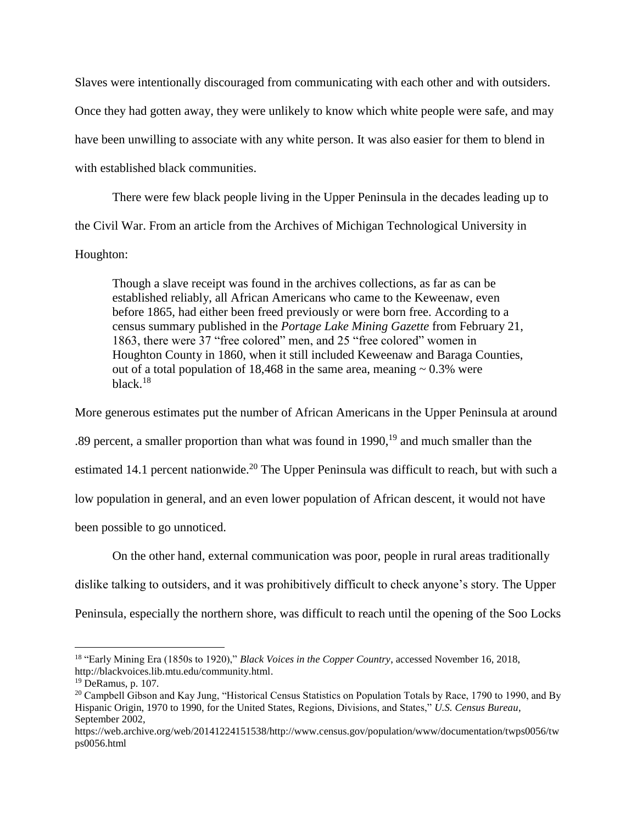Slaves were intentionally discouraged from communicating with each other and with outsiders. Once they had gotten away, they were unlikely to know which white people were safe, and may have been unwilling to associate with any white person. It was also easier for them to blend in with established black communities.

There were few black people living in the Upper Peninsula in the decades leading up to the Civil War. From an article from the Archives of Michigan Technological University in Houghton:

Though a slave receipt was found in the archives collections, as far as can be established reliably, all African Americans who came to the Keweenaw, even before 1865, had either been freed previously or were born free. According to a census summary published in the *Portage Lake Mining Gazette* from February 21, 1863, there were 37 "free colored" men, and 25 "free colored" women in Houghton County in 1860, when it still included Keweenaw and Baraga Counties, out of a total population of 18,468 in the same area, meaning  $\sim 0.3\%$  were black.<sup>18</sup>

More generous estimates put the number of African Americans in the Upper Peninsula at around

.89 percent, a smaller proportion than what was found in  $1990$ ,<sup>19</sup> and much smaller than the

estimated 14.1 percent nationwide.<sup>20</sup> The Upper Peninsula was difficult to reach, but with such a

low population in general, and an even lower population of African descent, it would not have

been possible to go unnoticed.

On the other hand, external communication was poor, people in rural areas traditionally

dislike talking to outsiders, and it was prohibitively difficult to check anyone's story. The Upper

Peninsula, especially the northern shore, was difficult to reach until the opening of the Soo Locks

<sup>18</sup> "Early Mining Era (1850s to 1920)," *Black Voices in the Copper Country*, accessed November 16, 2018, http://blackvoices.lib.mtu.edu/community.html.

<sup>19</sup> DeRamus, p. 107.

<sup>&</sup>lt;sup>20</sup> Campbell Gibson and Kay Jung, "Historical Census Statistics on Population Totals by Race, 1790 to 1990, and By Hispanic Origin, 1970 to 1990, for the United States, Regions, Divisions, and States," *U.S. Census Bureau*, September 2002,

https://web.archive.org/web/20141224151538/http://www.census.gov/population/www/documentation/twps0056/tw ps0056.html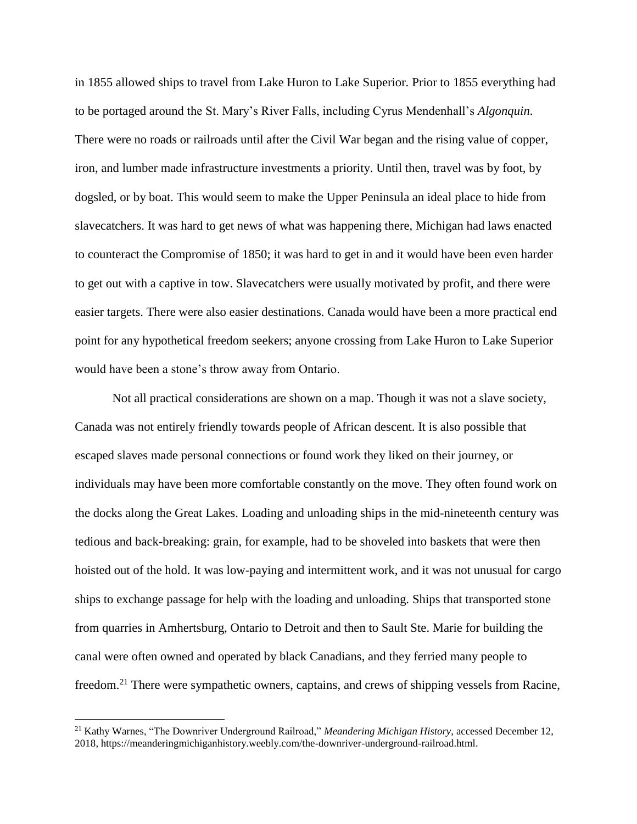in 1855 allowed ships to travel from Lake Huron to Lake Superior. Prior to 1855 everything had to be portaged around the St. Mary's River Falls, including Cyrus Mendenhall's *Algonquin*. There were no roads or railroads until after the Civil War began and the rising value of copper, iron, and lumber made infrastructure investments a priority. Until then, travel was by foot, by dogsled, or by boat. This would seem to make the Upper Peninsula an ideal place to hide from slavecatchers. It was hard to get news of what was happening there, Michigan had laws enacted to counteract the Compromise of 1850; it was hard to get in and it would have been even harder to get out with a captive in tow. Slavecatchers were usually motivated by profit, and there were easier targets. There were also easier destinations. Canada would have been a more practical end point for any hypothetical freedom seekers; anyone crossing from Lake Huron to Lake Superior would have been a stone's throw away from Ontario.

Not all practical considerations are shown on a map. Though it was not a slave society, Canada was not entirely friendly towards people of African descent. It is also possible that escaped slaves made personal connections or found work they liked on their journey, or individuals may have been more comfortable constantly on the move. They often found work on the docks along the Great Lakes. Loading and unloading ships in the mid-nineteenth century was tedious and back-breaking: grain, for example, had to be shoveled into baskets that were then hoisted out of the hold. It was low-paying and intermittent work, and it was not unusual for cargo ships to exchange passage for help with the loading and unloading. Ships that transported stone from quarries in Amhertsburg, Ontario to Detroit and then to Sault Ste. Marie for building the canal were often owned and operated by black Canadians, and they ferried many people to freedom.<sup>21</sup> There were sympathetic owners, captains, and crews of shipping vessels from Racine,

<sup>21</sup> Kathy Warnes, "The Downriver Underground Railroad," *Meandering Michigan History*, accessed December 12, 2018, https://meanderingmichiganhistory.weebly.com/the-downriver-underground-railroad.html.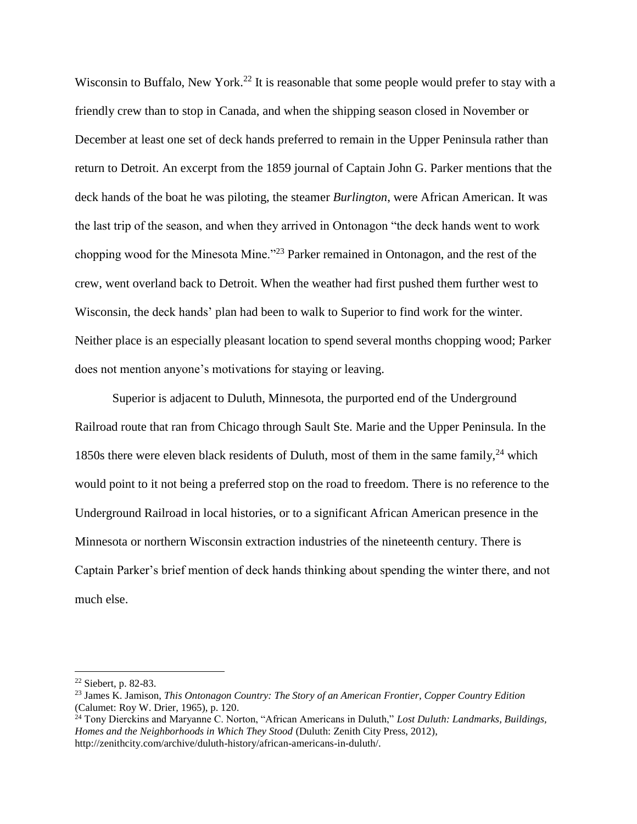Wisconsin to Buffalo, New York.<sup>22</sup> It is reasonable that some people would prefer to stay with a friendly crew than to stop in Canada, and when the shipping season closed in November or December at least one set of deck hands preferred to remain in the Upper Peninsula rather than return to Detroit. An excerpt from the 1859 journal of Captain John G. Parker mentions that the deck hands of the boat he was piloting, the steamer *Burlington*, were African American. It was the last trip of the season, and when they arrived in Ontonagon "the deck hands went to work chopping wood for the Minesota Mine."<sup>23</sup> Parker remained in Ontonagon, and the rest of the crew, went overland back to Detroit. When the weather had first pushed them further west to Wisconsin, the deck hands' plan had been to walk to Superior to find work for the winter. Neither place is an especially pleasant location to spend several months chopping wood; Parker does not mention anyone's motivations for staying or leaving.

Superior is adjacent to Duluth, Minnesota, the purported end of the Underground Railroad route that ran from Chicago through Sault Ste. Marie and the Upper Peninsula. In the 1850s there were eleven black residents of Duluth, most of them in the same family,  $24$  which would point to it not being a preferred stop on the road to freedom. There is no reference to the Underground Railroad in local histories, or to a significant African American presence in the Minnesota or northern Wisconsin extraction industries of the nineteenth century. There is Captain Parker's brief mention of deck hands thinking about spending the winter there, and not much else.

<sup>22</sup> Siebert, p. 82-83.

<sup>23</sup> James K. Jamison, *This Ontonagon Country: The Story of an American Frontier, Copper Country Edition* (Calumet: Roy W. Drier, 1965), p. 120.

<sup>24</sup> Tony Dierckins and Maryanne C. Norton, "African Americans in Duluth," *Lost Duluth: Landmarks, Buildings, Homes and the Neighborhoods in Which They Stood* (Duluth: Zenith City Press, 2012), http://zenithcity.com/archive/duluth-history/african-americans-in-duluth/.